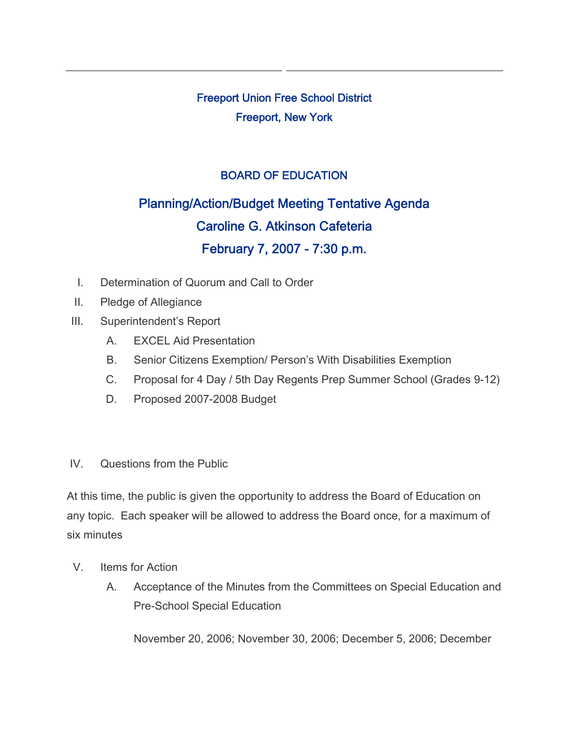Freeport Union Free School District Freeport, New York

## BOARD OF EDUCATION

## Planning/Action/Budget Meeting Tentative Agenda Caroline G. Atkinson Cafeteria February 7, 2007 - 7:30 p.m.

- I. Determination of Quorum and Call to Order
- II. Pledge of Allegiance
- III. Superintendent's Report
	- A. EXCEL Aid Presentation
	- B. Senior Citizens Exemption/ Person's With Disabilities Exemption
	- C. Proposal for 4 Day / 5th Day Regents Prep Summer School (Grades 9-12)
	- D. Proposed 2007-2008 Budget

## IV. Questions from the Public

At this time, the public is given the opportunity to address the Board of Education on any topic. Each speaker will be allowed to address the Board once, for a maximum of six minutes

- V. Items for Action
	- A. Acceptance of the Minutes from the Committees on Special Education and Pre-School Special Education

November 20, 2006; November 30, 2006; December 5, 2006; December